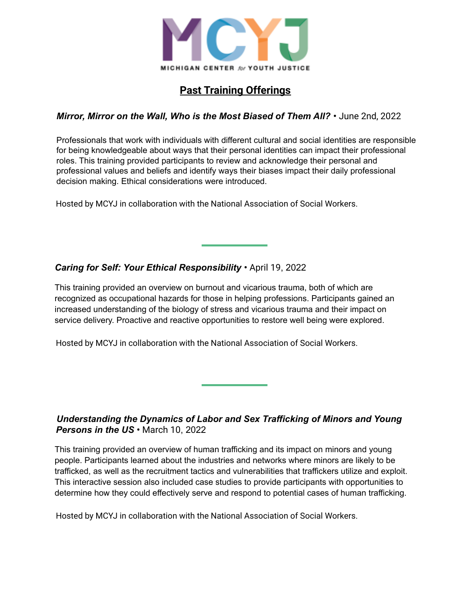

# **Past Training Offerings**

#### *Mirror, Mirror on the Wall, Who is the Most Biased of Them All?* **•** June 2nd, 2022

Professionals that work with individuals with different cultural and social identities are responsible for being knowledgeable about ways that their personal identities can impact their professional roles. This training provided participants to review and acknowledge their personal and professional values and beliefs and identify ways their biases impact their daily professional decision making. Ethical considerations were introduced.

Hosted by MCYJ in collaboration with the National Association of Social Workers.

#### *Caring for Self: Your Ethical Responsibility* **•** April 19, 2022

This training provided an overview on burnout and vicarious trauma, both of which are recognized as occupational hazards for those in helping professions. Participants gained an increased understanding of the biology of stress and vicarious trauma and their impact on service delivery. Proactive and reactive opportunities to restore well being were explored.

Hosted by MCYJ in collaboration with the National Association of Social Workers.

#### *Understanding the Dynamics of Labor and Sex Trafficking of Minors and Young Persons in the US* **•** March 10, 2022

This training provided an overview of human trafficking and its impact on minors and young people. Participants learned about the industries and networks where minors are likely to be trafficked, as well as the recruitment tactics and vulnerabilities that traffickers utilize and exploit. This interactive session also included case studies to provide participants with opportunities to determine how they could effectively serve and respond to potential cases of human trafficking.

Hosted by MCYJ in collaboration with the National Association of Social Workers.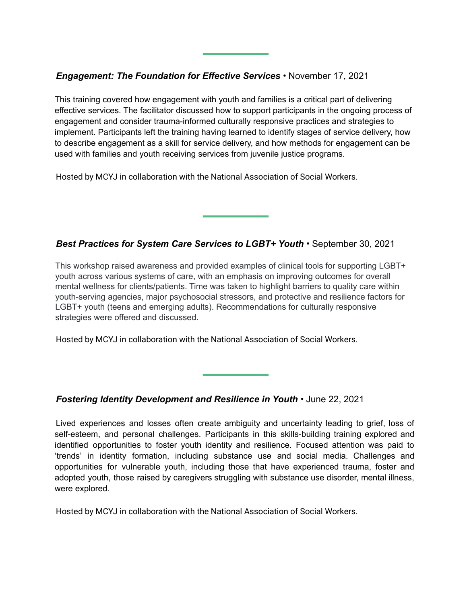#### *Engagement: The Foundation for Effective Services* **•** November 17, 2021

This training covered how engagement with youth and families is a critical part of delivering effective services. The facilitator discussed how to support participants in the ongoing process of engagement and consider trauma-informed culturally responsive practices and strategies to implement. Participants left the training having learned to identify stages of service delivery, how to describe engagement as a skill for service delivery, and how methods for engagement can be used with families and youth receiving services from juvenile justice programs.

Hosted by MCYJ in collaboration with the National Association of Social Workers.

### *Best Practices for System Care Services to LGBT+ Youth* **•** September 30, 2021

This workshop raised awareness and provided examples of clinical tools for supporting LGBT+ youth across various systems of care, with an emphasis on improving outcomes for overall mental wellness for clients/patients. Time was taken to highlight barriers to quality care within youth-serving agencies, major psychosocial stressors, and protective and resilience factors for LGBT+ youth (teens and emerging adults). Recommendations for culturally responsive strategies were offered and discussed.

Hosted by MCYJ in collaboration with the National Association of Social Workers.

#### *Fostering Identity Development and Resilience in Youth* **•** June 22, 2021

Lived experiences and losses often create ambiguity and uncertainty leading to grief, loss of self-esteem, and personal challenges. Participants in this skills-building training explored and identified opportunities to foster youth identity and resilience. Focused attention was paid to 'trends' in identity formation, including substance use and social media. Challenges and opportunities for vulnerable youth, including those that have experienced trauma, foster and adopted youth, those raised by caregivers struggling with substance use disorder, mental illness, were explored.

Hosted by MCYJ in collaboration with the National Association of Social Workers.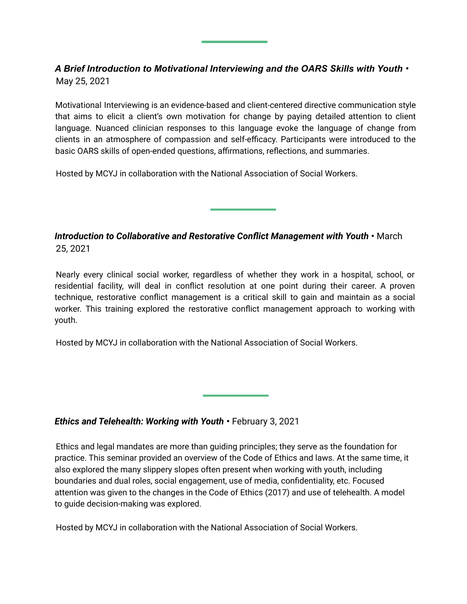## *A Brief Introduction to Motivational Interviewing and the OARS Skills with Youth* **•** May 25, 2021

Motivational Interviewing is an evidence-based and client-centered directive communication style that aims to elicit a client's own motivation for change by paying detailed attention to client language. Nuanced clinician responses to this language evoke the language of change from clients in an atmosphere of compassion and self-efficacy. Participants were introduced to the basic OARS skills of open-ended questions, affirmations, reflections, and summaries.

Hosted by MCYJ in collaboration with the National Association of Social Workers.

*Introduction to Collaborative and Restorative Conflict Management with Youth* **•** March 25, 2021

Nearly every clinical social worker, regardless of whether they work in a hospital, school, or residential facility, will deal in conflict resolution at one point during their career. A proven technique, restorative conflict management is a critical skill to gain and maintain as a social worker. This training explored the restorative conflict management approach to working with youth.

Hosted by MCYJ in collaboration with the National Association of Social Workers.

#### *Ethics and Telehealth: Working with Youth* **•** February 3, 2021

Ethics and legal mandates are more than guiding principles; they serve as the foundation for practice. This seminar provided an overview of the Code of Ethics and laws. At the same time, it also explored the many slippery slopes often present when working with youth, including boundaries and dual roles, social engagement, use of media, confidentiality, etc. Focused attention was given to the changes in the Code of Ethics (2017) and use of telehealth. A model to guide decision-making was explored.

Hosted by MCYJ in collaboration with the National Association of Social Workers.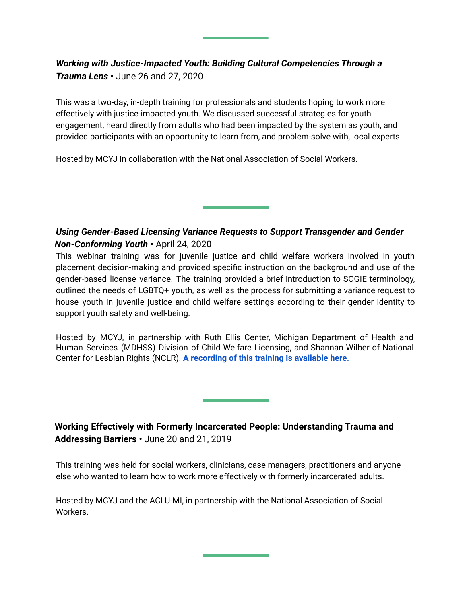## *Working with Justice-Impacted Youth: Building Cultural Competencies Through a Trauma Lens* **•** June 26 and 27, 2020

This was a two-day, in-depth training for professionals and students hoping to work more effectively with justice-impacted youth. We discussed successful strategies for youth engagement, heard directly from adults who had been impacted by the system as youth, and provided participants with an opportunity to learn from, and problem-solve with, local experts.

Hosted by MCYJ in collaboration with the National Association of Social Workers.

## *Using Gender-Based Licensing Variance Requests to Support Transgender and Gender Non-Conforming Youth* **•** April 24, 2020

This webinar training was for juvenile justice and child welfare workers involved in youth placement decision-making and provided specific instruction on the background and use of the gender-based license variance. The training provided a brief introduction to SOGIE terminology, outlined the needs of LGBTQ+ youth, as well as the process for submitting a variance request to house youth in juvenile justice and child welfare settings according to their gender identity to support youth safety and well-being.

Hosted by MCYJ, in partnership with Ruth Ellis Center, Michigan Department of Health and Human Services (MDHSS) Division of Child Welfare Licensing, and Shannan Wilber of National Center for Lesbian Rights (NCLR). **A recording of this training is available here.**

**Working Effectively with Formerly Incarcerated People: Understanding Trauma and Addressing Barriers •** June 20 and 21, 2019

This training was held for social workers, clinicians, case managers, practitioners and anyone else who wanted to learn how to work more effectively with formerly incarcerated adults.

Hosted by MCYJ and the ACLU-MI, in partnership with the National Association of Social Workers.